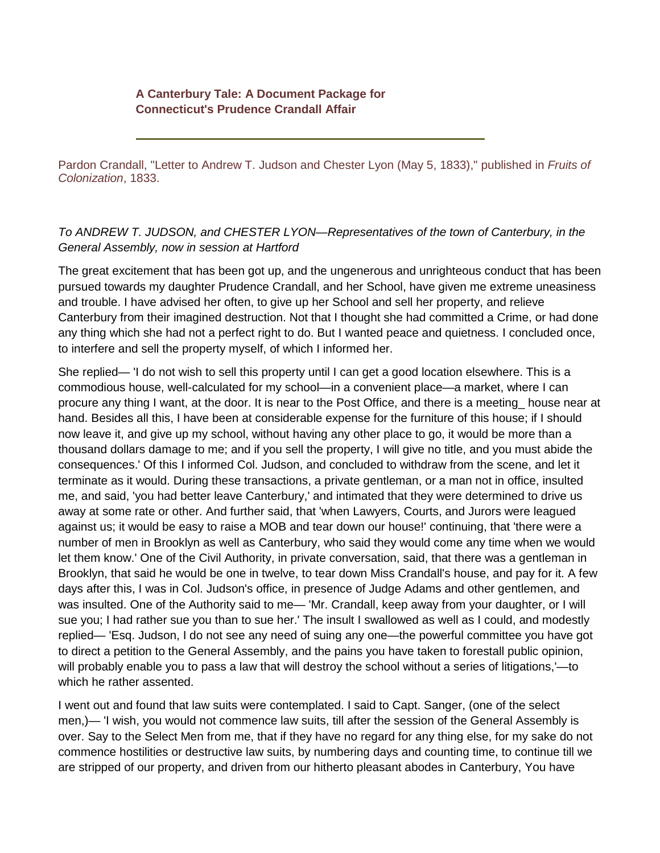## **A Canterbury Tale: A Document Package for Connecticut's Prudence Crandall Affair**

Pardon Crandall, "Letter to Andrew T. Judson and Chester Lyon (May 5, 1833)," published in *Fruits of Colonization*, 1833.

## *To ANDREW T. JUDSON, and CHESTER LYON—Representatives of the town of Canterbury, in the General Assembly, now in session at Hartford*

The great excitement that has been got up, and the ungenerous and unrighteous conduct that has been pursued towards my daughter Prudence Crandall, and her School, have given me extreme uneasiness and trouble. I have advised her often, to give up her School and sell her property, and relieve Canterbury from their imagined destruction. Not that I thought she had committed a Crime, or had done any thing which she had not a perfect right to do. But I wanted peace and quietness. I concluded once, to interfere and sell the property myself, of which I informed her.

She replied— 'I do not wish to sell this property until I can get a good location elsewhere. This is a commodious house, well-calculated for my school—in a convenient place—a market, where I can procure any thing I want, at the door. It is near to the Post Office, and there is a meeting\_ house near at hand. Besides all this, I have been at considerable expense for the furniture of this house; if I should now leave it, and give up my school, without having any other place to go, it would be more than a thousand dollars damage to me; and if you sell the property, I will give no title, and you must abide the consequences.' Of this I informed Col. Judson, and concluded to withdraw from the scene, and let it terminate as it would. During these transactions, a private gentleman, or a man not in office, insulted me, and said, 'you had better leave Canterbury,' and intimated that they were determined to drive us away at some rate or other. And further said, that 'when Lawyers, Courts, and Jurors were leagued against us; it would be easy to raise a MOB and tear down our house!' continuing, that 'there were a number of men in Brooklyn as well as Canterbury, who said they would come any time when we would let them know.' One of the Civil Authority, in private conversation, said, that there was a gentleman in Brooklyn, that said he would be one in twelve, to tear down Miss Crandall's house, and pay for it. A few days after this, I was in Col. Judson's office, in presence of Judge Adams and other gentlemen, and was insulted. One of the Authority said to me— 'Mr. Crandall, keep away from your daughter, or I will sue you; I had rather sue you than to sue her.' The insult I swallowed as well as I could, and modestly replied— 'Esq. Judson, I do not see any need of suing any one—the powerful committee you have got to direct a petition to the General Assembly, and the pains you have taken to forestall public opinion, will probably enable you to pass a law that will destroy the school without a series of litigations,'—to which he rather assented.

I went out and found that law suits were contemplated. I said to Capt. Sanger, (one of the select men,)— 'I wish, you would not commence law suits, till after the session of the General Assembly is over. Say to the Select Men from me, that if they have no regard for any thing else, for my sake do not commence hostilities or destructive law suits, by numbering days and counting time, to continue till we are stripped of our property, and driven from our hitherto pleasant abodes in Canterbury, You have